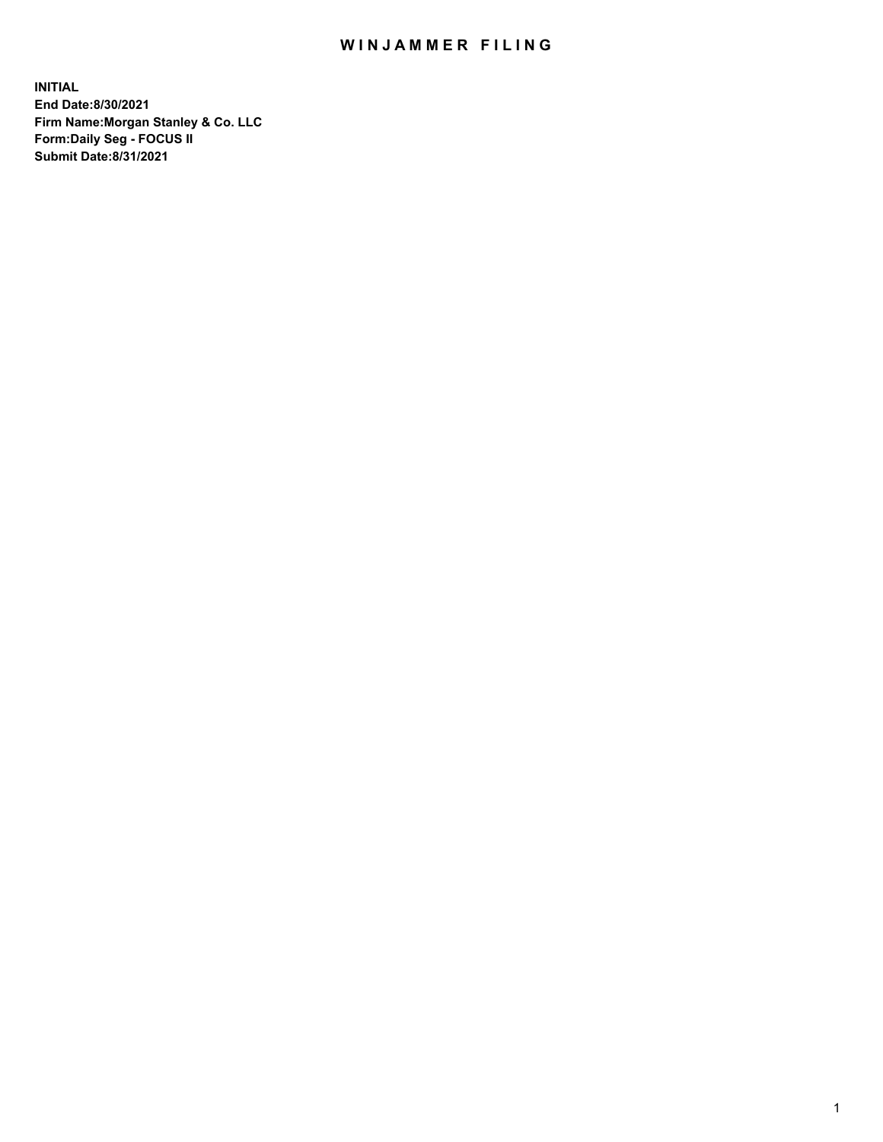## WIN JAMMER FILING

**INITIAL End Date:8/30/2021 Firm Name:Morgan Stanley & Co. LLC Form:Daily Seg - FOCUS II Submit Date:8/31/2021**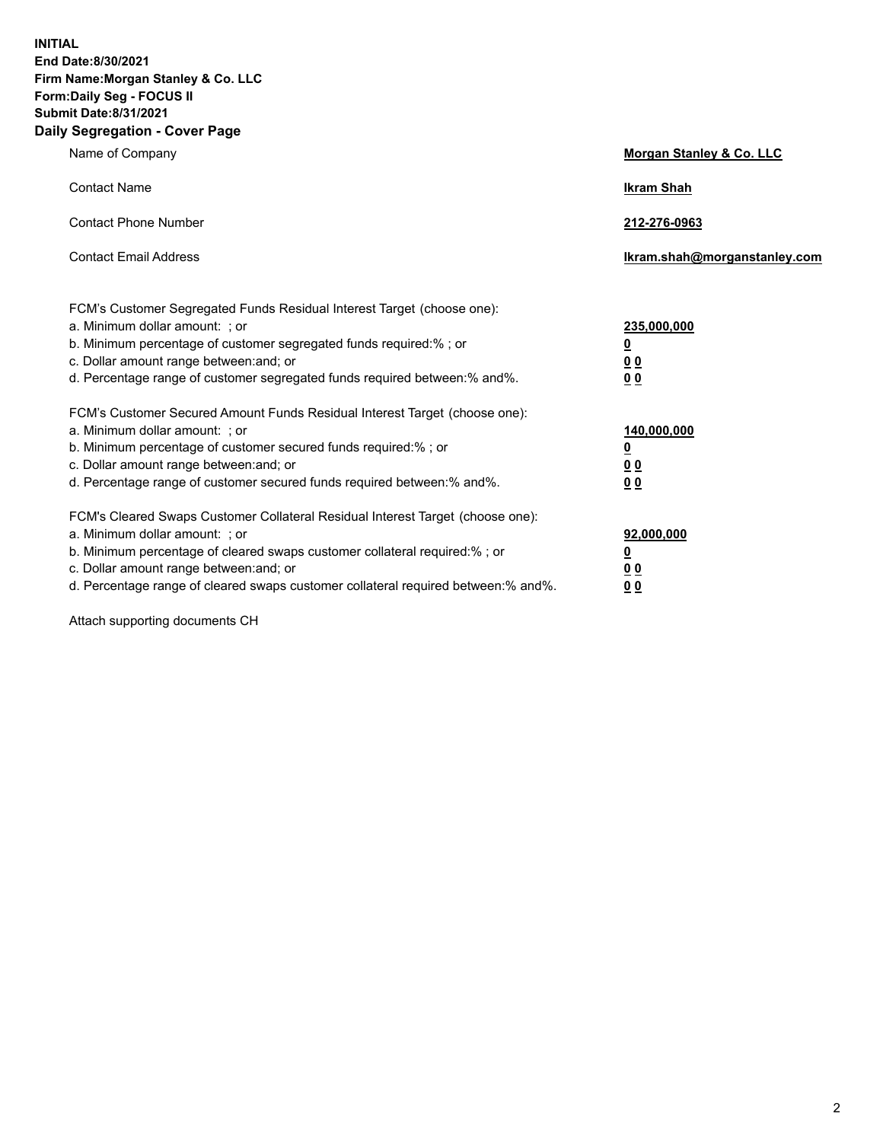**INITIAL End Date:8/30/2021 Firm Name:Morgan Stanley & Co. LLC Form:Daily Seg - FOCUS II Submit Date:8/31/2021 Daily Segregation - Cover Page**

| Name of Company                                                                                                                                                                                                                                                                                                                | <b>Morgan Stanley &amp; Co. LLC</b>                    |
|--------------------------------------------------------------------------------------------------------------------------------------------------------------------------------------------------------------------------------------------------------------------------------------------------------------------------------|--------------------------------------------------------|
| <b>Contact Name</b>                                                                                                                                                                                                                                                                                                            | <b>Ikram Shah</b>                                      |
| <b>Contact Phone Number</b>                                                                                                                                                                                                                                                                                                    | 212-276-0963                                           |
| <b>Contact Email Address</b>                                                                                                                                                                                                                                                                                                   | Ikram.shah@morganstanley.com                           |
| FCM's Customer Segregated Funds Residual Interest Target (choose one):<br>a. Minimum dollar amount: ; or<br>b. Minimum percentage of customer segregated funds required:% ; or<br>c. Dollar amount range between: and; or<br>d. Percentage range of customer segregated funds required between:% and%.                         | 235,000,000<br><u>0</u><br>0 Q<br>0 Q                  |
| FCM's Customer Secured Amount Funds Residual Interest Target (choose one):<br>a. Minimum dollar amount: ; or<br>b. Minimum percentage of customer secured funds required:% ; or<br>c. Dollar amount range between: and; or<br>d. Percentage range of customer secured funds required between: % and %.                         | 140,000,000<br><u>0</u><br><u>00</u><br>0 <sub>0</sub> |
| FCM's Cleared Swaps Customer Collateral Residual Interest Target (choose one):<br>a. Minimum dollar amount: ; or<br>b. Minimum percentage of cleared swaps customer collateral required:% ; or<br>c. Dollar amount range between: and; or<br>d. Percentage range of cleared swaps customer collateral required between:% and%. | 92,000,000<br><u>0</u><br>0 Q<br>00                    |

Attach supporting documents CH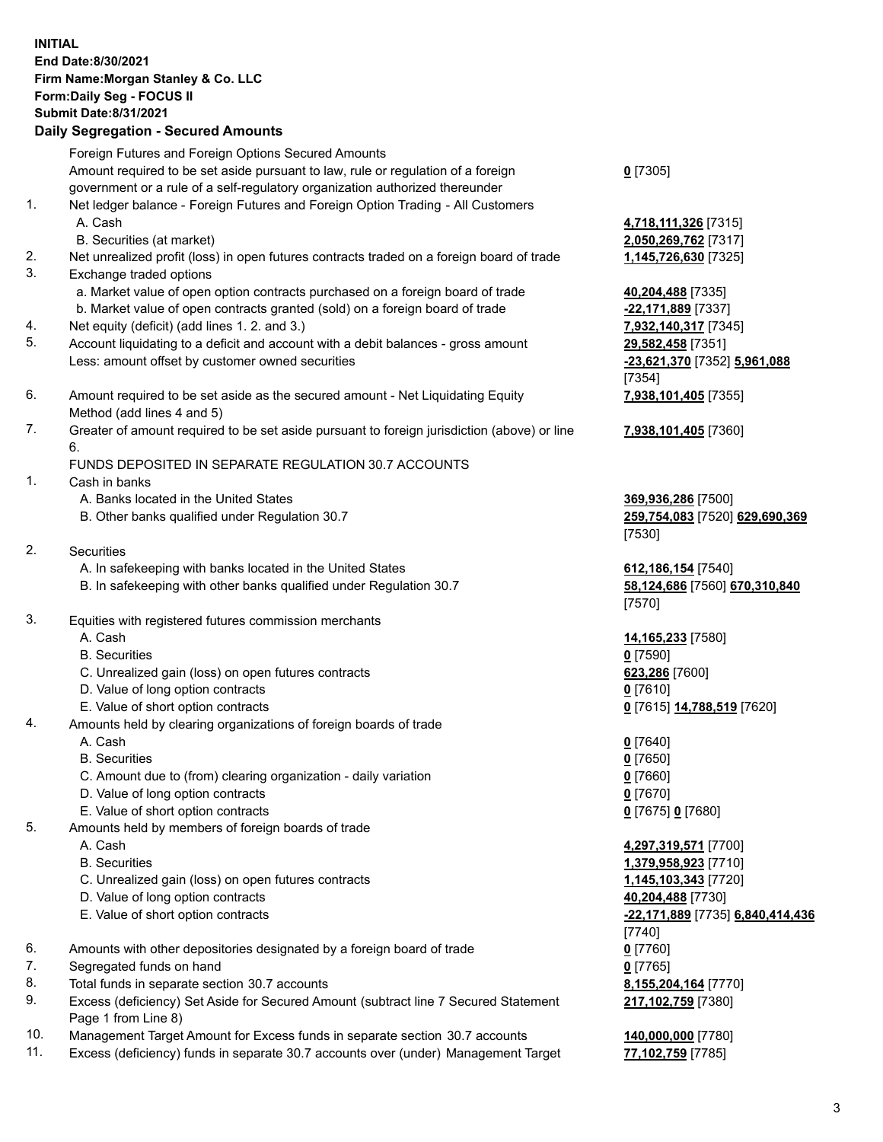## **INITIAL End Date:8/30/2021 Firm Name:Morgan Stanley & Co. LLC Form:Daily Seg - FOCUS II Submit Date:8/31/2021 Daily Segregation - Secured Amounts**

Foreign Futures and Foreign Options Secured Amounts Amount required to be set aside pursuant to law, rule or regulation of a foreign government or a rule of a self-regulatory organization authorized thereunder 1. Net ledger balance - Foreign Futures and Foreign Option Trading - All Customers A. Cash **4,718,111,326** [7315] B. Securities (at market) **2,050,269,762** [7317] 2. Net unrealized profit (loss) in open futures contracts traded on a foreign board of trade **1,145,726,630** [7325] 3. Exchange traded options a. Market value of open option contracts purchased on a foreign board of trade **40,204,488** [7335] b. Market value of open contracts granted (sold) on a foreign board of trade **-22,171,889** [7337] 4. Net equity (deficit) (add lines 1. 2. and 3.) **7,932,140,317** [7345] 5. Account liquidating to a deficit and account with a debit balances - gross amount **29,582,458** [7351] Less: amount offset by customer owned securities **-23,621,370** [7352] **5,961,088** 6. Amount required to be set aside as the secured amount - Net Liquidating Equity Method (add lines 4 and 5) 7. Greater of amount required to be set aside pursuant to foreign jurisdiction (above) or line 6. FUNDS DEPOSITED IN SEPARATE REGULATION 30.7 ACCOUNTS 1. Cash in banks A. Banks located in the United States **369,936,286** [7500] B. Other banks qualified under Regulation 30.7 **259,754,083** [7520] **629,690,369** 2. Securities A. In safekeeping with banks located in the United States **612,186,154** [7540] B. In safekeeping with other banks qualified under Regulation 30.7 **58,124,686** [7560] **670,310,840** 3. Equities with registered futures commission merchants A. Cash **14,165,233** [7580] B. Securities **0** [7590] C. Unrealized gain (loss) on open futures contracts **623,286** [7600] D. Value of long option contracts **0** [7610] E. Value of short option contracts **0** [7615] **14,788,519** [7620] 4. Amounts held by clearing organizations of foreign boards of trade A. Cash **0** [7640] B. Securities **0** [7650] C. Amount due to (from) clearing organization - daily variation **0** [7660] D. Value of long option contracts **0** [7670] E. Value of short option contracts **0** [7675] **0** [7680] 5. Amounts held by members of foreign boards of trade A. Cash **4,297,319,571** [7700] B. Securities **1,379,958,923** [7710] C. Unrealized gain (loss) on open futures contracts **1,145,103,343** [7720] D. Value of long option contracts **40,204,488** [7730] E. Value of short option contracts **-22,171,889** [7735] **6,840,414,436** 6. Amounts with other depositories designated by a foreign board of trade **0** [7760] 7. Segregated funds on hand **0** [7765] 8. Total funds in separate section 30.7 accounts **8,155,204,164** [7770]

- 9. Excess (deficiency) Set Aside for Secured Amount (subtract line 7 Secured Statement Page 1 from Line 8)
- 10. Management Target Amount for Excess funds in separate section 30.7 accounts **140,000,000** [7780]
- 11. Excess (deficiency) funds in separate 30.7 accounts over (under) Management Target **77,102,759** [7785]

[7354] **7,938,101,405** [7355]

**7,938,101,405** [7360]

**0** [7305]

[7530]

[7570]

[7740] **217,102,759** [7380]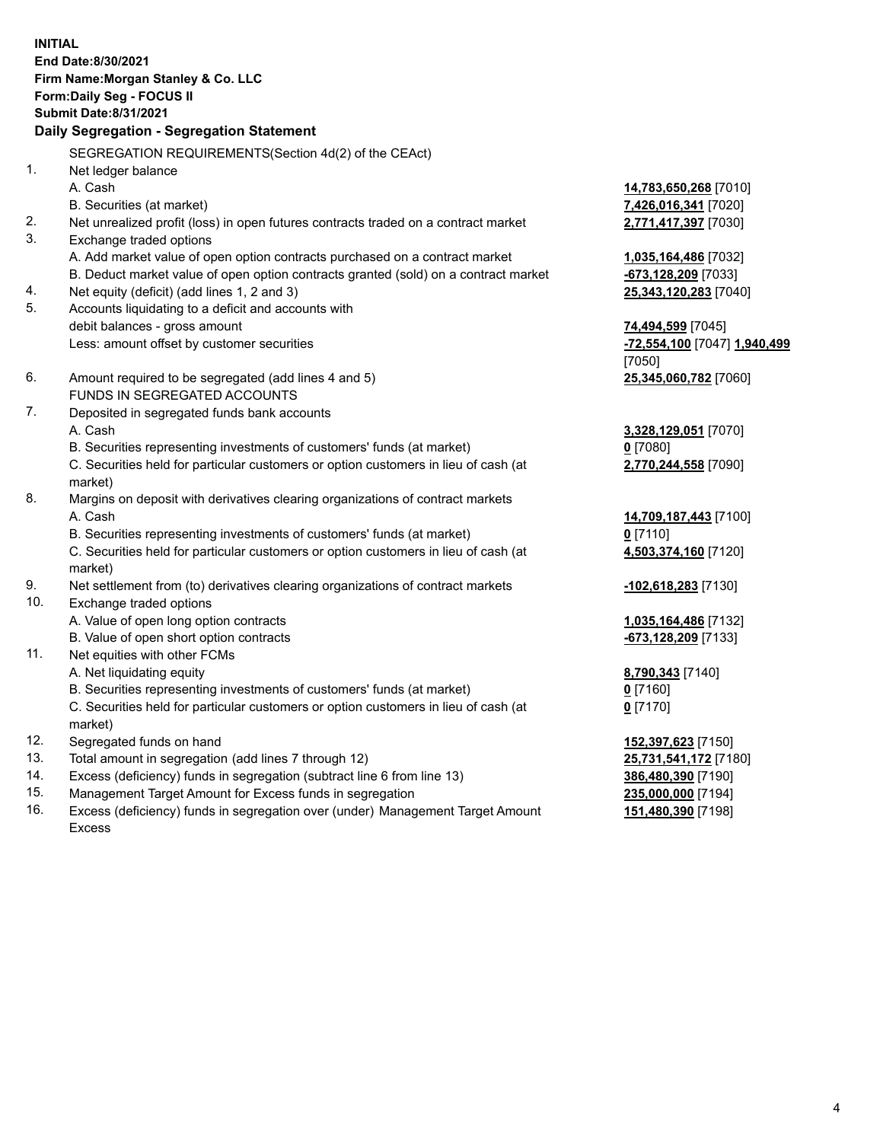**INITIAL End Date:8/30/2021 Firm Name:Morgan Stanley & Co. LLC Form:Daily Seg - FOCUS II Submit Date:8/31/2021 Daily Segregation - Segregation Statement** SEGREGATION REQUIREMENTS(Section 4d(2) of the CEAct) 1. Net ledger balance A. Cash **14,783,650,268** [7010] B. Securities (at market) **7,426,016,341** [7020] 2. Net unrealized profit (loss) in open futures contracts traded on a contract market **2,771,417,397** [7030] 3. Exchange traded options A. Add market value of open option contracts purchased on a contract market **1,035,164,486** [7032] B. Deduct market value of open option contracts granted (sold) on a contract market **-673,128,209** [7033] 4. Net equity (deficit) (add lines 1, 2 and 3) **25,343,120,283** [7040] 5. Accounts liquidating to a deficit and accounts with debit balances - gross amount **74,494,599** [7045] Less: amount offset by customer securities **-72,554,100** [7047] **1,940,499** [7050] 6. Amount required to be segregated (add lines 4 and 5) **25,345,060,782** [7060] FUNDS IN SEGREGATED ACCOUNTS 7. Deposited in segregated funds bank accounts A. Cash **3,328,129,051** [7070] B. Securities representing investments of customers' funds (at market) **0** [7080] C. Securities held for particular customers or option customers in lieu of cash (at market) **2,770,244,558** [7090] 8. Margins on deposit with derivatives clearing organizations of contract markets A. Cash **14,709,187,443** [7100] B. Securities representing investments of customers' funds (at market) **0** [7110] C. Securities held for particular customers or option customers in lieu of cash (at market) **4,503,374,160** [7120] 9. Net settlement from (to) derivatives clearing organizations of contract markets **-102,618,283** [7130] 10. Exchange traded options A. Value of open long option contracts **1,035,164,486** [7132] B. Value of open short option contracts **-673,128,209** [7133] 11. Net equities with other FCMs A. Net liquidating equity **8,790,343** [7140] B. Securities representing investments of customers' funds (at market) **0** [7160] C. Securities held for particular customers or option customers in lieu of cash (at market) **0** [7170] 12. Segregated funds on hand **152,397,623** [7150] 13. Total amount in segregation (add lines 7 through 12) **25,731,541,172** [7180] 14. Excess (deficiency) funds in segregation (subtract line 6 from line 13) **386,480,390** [7190] 15. Management Target Amount for Excess funds in segregation **235,000,000** [7194]

16. Excess (deficiency) funds in segregation over (under) Management Target Amount Excess

**151,480,390** [7198]